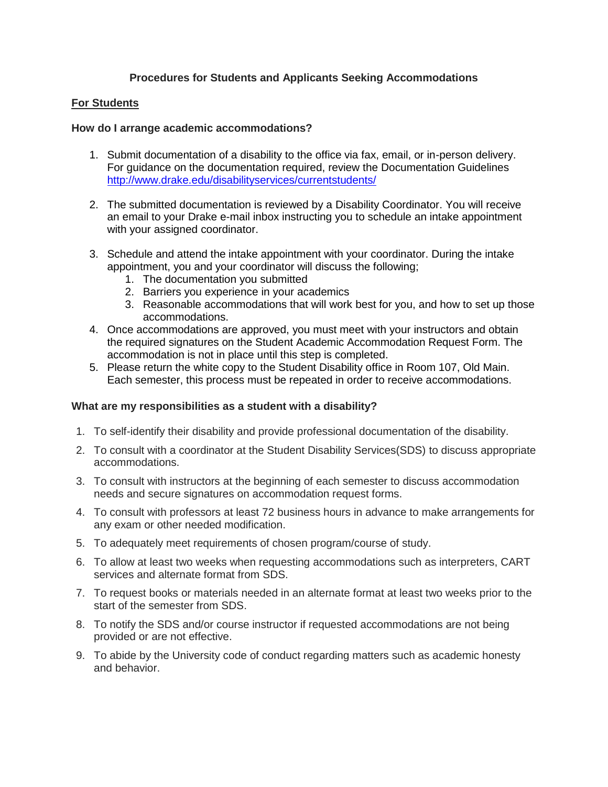# **Procedures for Students and Applicants Seeking Accommodations**

# **For Students**

### **How do I arrange academic accommodations?**

- 1. Submit documentation of a disability to the office via fax, email, or in-person delivery. For guidance on the documentation required, review the Documentation Guidelines <http://www.drake.edu/disabilityservices/currentstudents/>
- 2. The submitted documentation is reviewed by a Disability Coordinator. You will receive an email to your Drake e-mail inbox instructing you to schedule an intake appointment with your assigned coordinator.
- 3. Schedule and attend the intake appointment with your coordinator. During the intake appointment, you and your coordinator will discuss the following;
	- 1. The documentation you submitted
	- 2. Barriers you experience in your academics
	- 3. Reasonable accommodations that will work best for you, and how to set up those accommodations.
- 4. Once accommodations are approved, you must meet with your instructors and obtain the required signatures on the Student Academic Accommodation Request Form. The accommodation is not in place until this step is completed.
- 5. Please return the white copy to the Student Disability office in Room 107, Old Main. Each semester, this process must be repeated in order to receive accommodations.

# **What are my responsibilities as a student with a disability?**

- 1. To self-identify their disability and provide professional documentation of the disability.
- 2. To consult with a coordinator at the Student Disability Services(SDS) to discuss appropriate accommodations.
- 3. To consult with instructors at the beginning of each semester to discuss accommodation needs and secure signatures on accommodation request forms.
- 4. To consult with professors at least 72 business hours in advance to make arrangements for any exam or other needed modification.
- 5. To adequately meet requirements of chosen program/course of study.
- 6. To allow at least two weeks when requesting accommodations such as interpreters, CART services and alternate format from SDS.
- 7. To request books or materials needed in an alternate format at least two weeks prior to the start of the semester from SDS.
- 8. To notify the SDS and/or course instructor if requested accommodations are not being provided or are not effective.
- 9. To abide by the University code of conduct regarding matters such as academic honesty and behavior.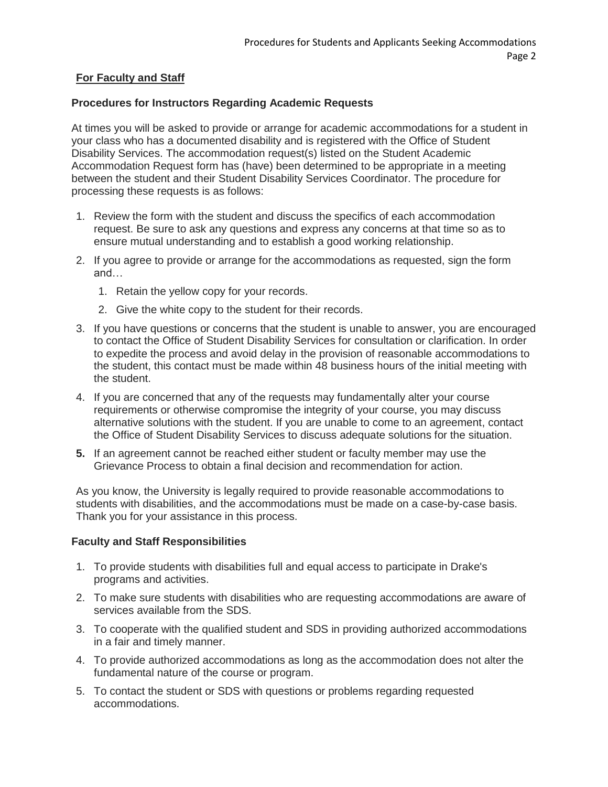# **For Faculty and Staff**

### **Procedures for Instructors Regarding Academic Requests**

At times you will be asked to provide or arrange for academic accommodations for a student in your class who has a documented disability and is registered with the Office of Student Disability Services. The accommodation request(s) listed on the Student Academic Accommodation Request form has (have) been determined to be appropriate in a meeting between the student and their Student Disability Services Coordinator. The procedure for processing these requests is as follows:

- 1. Review the form with the student and discuss the specifics of each accommodation request. Be sure to ask any questions and express any concerns at that time so as to ensure mutual understanding and to establish a good working relationship.
- 2. If you agree to provide or arrange for the accommodations as requested, sign the form and…
	- 1. Retain the yellow copy for your records.
	- 2. Give the white copy to the student for their records.
- 3. If you have questions or concerns that the student is unable to answer, you are encouraged to contact the Office of Student Disability Services for consultation or clarification. In order to expedite the process and avoid delay in the provision of reasonable accommodations to the student, this contact must be made within 48 business hours of the initial meeting with the student.
- 4. If you are concerned that any of the requests may fundamentally alter your course requirements or otherwise compromise the integrity of your course, you may discuss alternative solutions with the student. If you are unable to come to an agreement, contact the Office of Student Disability Services to discuss adequate solutions for the situation.
- **5.** If an agreement cannot be reached either student or faculty member may use the Grievance Process to obtain a final decision and recommendation for action.

As you know, the University is legally required to provide reasonable accommodations to students with disabilities, and the accommodations must be made on a case-by-case basis. Thank you for your assistance in this process.

#### **Faculty and Staff Responsibilities**

- 1. To provide students with disabilities full and equal access to participate in Drake's programs and activities.
- 2. To make sure students with disabilities who are requesting accommodations are aware of services available from the SDS.
- 3. To cooperate with the qualified student and SDS in providing authorized accommodations in a fair and timely manner.
- 4. To provide authorized accommodations as long as the accommodation does not alter the fundamental nature of the course or program.
- 5. To contact the student or SDS with questions or problems regarding requested accommodations.